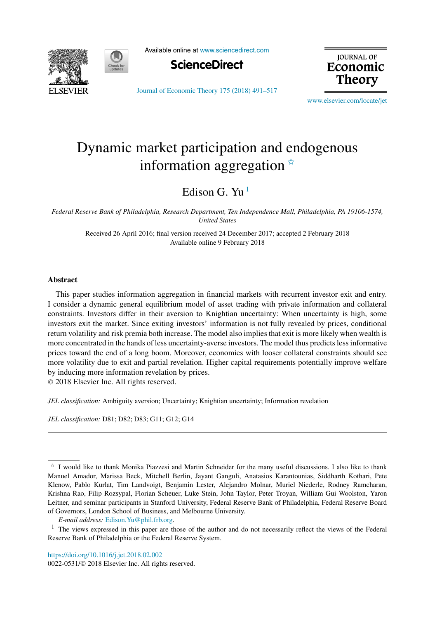



Available online at [www.sciencedirect.com](http://www.sciencedirect.com)



**JOURNAL OF** Economic **Theory** 

[Journal of Economic Theory 175 \(2018\) 491–517](https://doi.org/10.1016/j.jet.2018.02.002)

[www.elsevier.com/locate/jet](http://www.elsevier.com/locate/jet)

## Dynamic market participation and endogenous information aggregation  $*$

Edison G. Yu<sup>1</sup>

*Federal Reserve Bank of Philadelphia, Research Department, Ten Independence Mall, Philadelphia, PA 19106-1574, United States*

> Received 26 April 2016; final version received 24 December 2017; accepted 2 February 2018 Available online 9 February 2018

## **Abstract**

This paper studies information aggregation in financial markets with recurrent investor exit and entry. I consider a dynamic general equilibrium model of asset trading with private information and collateral constraints. Investors differ in their aversion to Knightian uncertainty: When uncertainty is high, some investors exit the market. Since exiting investors' information is not fully revealed by prices, conditional return volatility and risk premia both increase. The model also implies that exit is more likely when wealth is more concentrated in the hands of less uncertainty-averse investors. The model thus predictslessinformative prices toward the end of a long boom. Moreover, economies with looser collateral constraints should see more volatility due to exit and partial revelation. Higher capital requirements potentially improve welfare by inducing more information revelation by prices.

© 2018 Elsevier Inc. All rights reserved.

*JEL classification:* Ambiguity aversion; Uncertainty; Knightian uncertainty; Information revelation

*JEL classification:* D81; D82; D83; G11; G12; G14

*E-mail address:* [Edison.Yu@phil.frb.org](mailto:Edison.Yu@phil.frb.org).

<https://doi.org/10.1016/j.jet.2018.02.002>

 $\dot{\phi}$  I would like to thank Monika Piazzesi and Martin Schneider for the many useful discussions. I also like to thank Manuel Amador, Marissa Beck, Mitchell Berlin, Jayant Ganguli, Anatasios Karantounias, Siddharth Kothari, Pete Klenow, Pablo Kurlat, Tim Landvoigt, Benjamin Lester, Alejandro Molnar, Muriel Niederle, Rodney Ramcharan, Krishna Rao, Filip Rozsypal, Florian Scheuer, Luke Stein, John Taylor, Peter Troyan, William Gui Woolston, Yaron Leitner, and seminar participants in Stanford University, Federal Reserve Bank of Philadelphia, Federal Reserve Board of Governors, London School of Business, and Melbourne University.

<sup>&</sup>lt;sup>1</sup> The views expressed in this paper are those of the author and do not necessarily reflect the views of the Federal Reserve Bank of Philadelphia or the Federal Reserve System.

<sup>0022-0531/</sup>© 2018 Elsevier Inc. All rights reserved.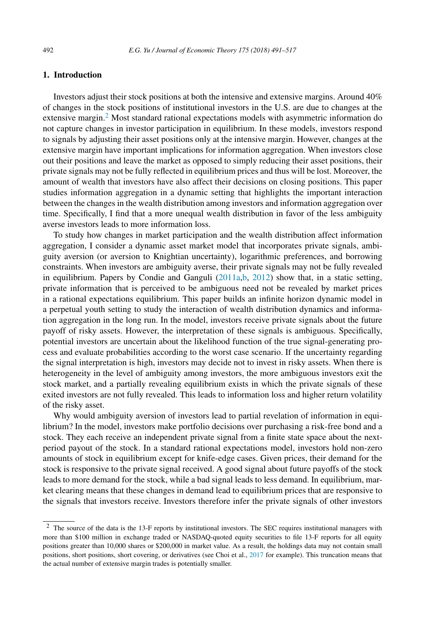## **1. Introduction**

Investors adjust their stock positions at both the intensive and extensive margins. Around 40% of changes in the stock positions of institutional investors in the U.S. are due to changes at the extensive margin.2 Most standard rational expectations models with asymmetric information do not capture changes in investor participation in equilibrium. In these models, investors respond to signals by adjusting their asset positions only at the intensive margin. However, changes at the extensive margin have important implications for information aggregation. When investors close out their positions and leave the market as opposed to simply reducing their asset positions, their private signals may not be fully reflected in equilibrium prices and thus will be lost. Moreover, the amount of wealth that investors have also affect their decisions on closing positions. This paper studies information aggregation in a dynamic setting that highlights the important interaction between the changes in the wealth distribution among investors and information aggregation over time. Specifically, I find that a more unequal wealth distribution in favor of the less ambiguity averse investors leads to more information loss.

To study how changes in market participation and the wealth distribution affect information aggregation, I consider a dynamic asset market model that incorporates private signals, ambiguity aversion (or aversion to Knightian uncertainty), logarithmic preferences, and borrowing constraints. When investors are ambiguity averse, their private signals may not be fully revealed in equilibrium. Papers by Condie and Ganguli [\(2011a,b,](#page--1-0) [2012\)](#page--1-0) show that, in a static setting, private information that is perceived to be ambiguous need not be revealed by market prices in a rational expectations equilibrium. This paper builds an infinite horizon dynamic model in a perpetual youth setting to study the interaction of wealth distribution dynamics and information aggregation in the long run. In the model, investors receive private signals about the future payoff of risky assets. However, the interpretation of these signals is ambiguous. Specifically, potential investors are uncertain about the likelihood function of the true signal-generating process and evaluate probabilities according to the worst case scenario. If the uncertainty regarding the signal interpretation is high, investors may decide not to invest in risky assets. When there is heterogeneity in the level of ambiguity among investors, the more ambiguous investors exit the stock market, and a partially revealing equilibrium exists in which the private signals of these exited investors are not fully revealed. This leads to information loss and higher return volatility of the risky asset.

Why would ambiguity aversion of investors lead to partial revelation of information in equilibrium? In the model, investors make portfolio decisions over purchasing a risk-free bond and a stock. They each receive an independent private signal from a finite state space about the nextperiod payout of the stock. In a standard rational expectations model, investors hold non-zero amounts of stock in equilibrium except for knife-edge cases. Given prices, their demand for the stock is responsive to the private signal received. A good signal about future payoffs of the stock leads to more demand for the stock, while a bad signal leads to less demand. In equilibrium, market clearing means that these changes in demand lead to equilibrium prices that are responsive to the signals that investors receive. Investors therefore infer the private signals of other investors

<sup>2</sup> The source of the data is the 13-F reports by institutional investors. The SEC requires institutional managers with more than \$100 million in exchange traded or NASDAQ-quoted equity securities to file 13-F reports for all equity positions greater than 10,000 shares or \$200,000 in market value. As a result, the holdings data may not contain small positions, short positions, short covering, or derivatives (see Choi et al., [2017](#page--1-0) for example). This truncation means that the actual number of extensive margin trades is potentially smaller.